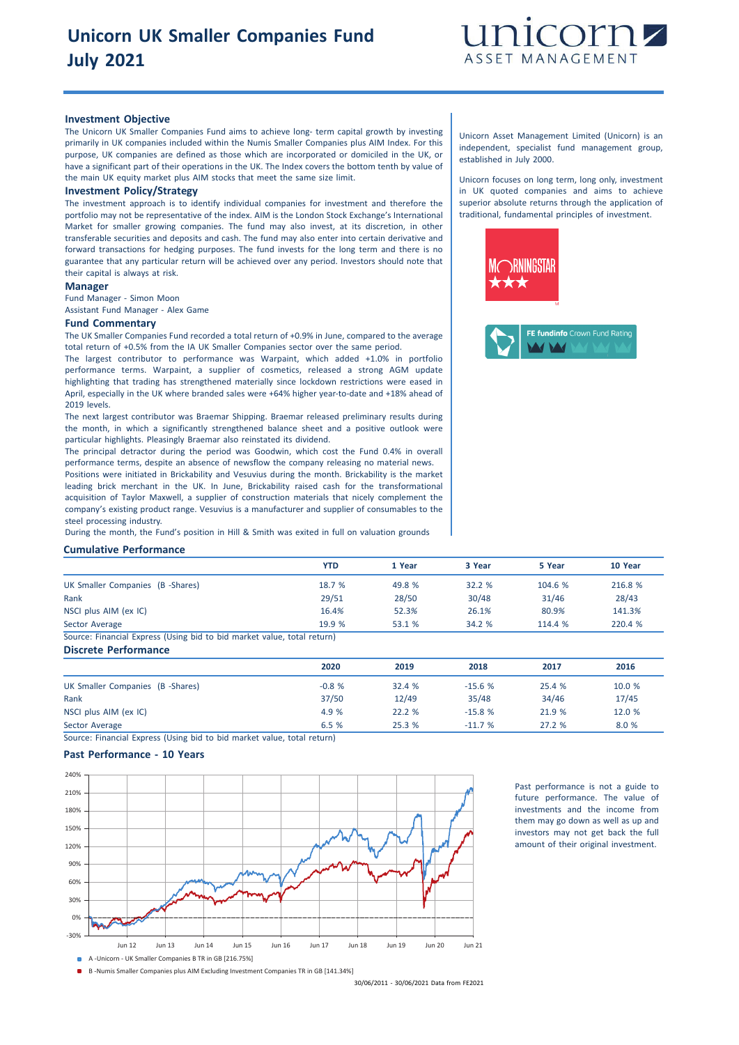

## **Investment Objective**

The Unicorn UK Smaller Companies Fund aims to achieve long- term capital growth by investing primarily in UK companies included within the Numis Smaller Companies plus AIM Index. For this purpose, UK companies are defined as those which are incorporated or domiciled in the UK, or have a significant part of their operations in the UK. The Index covers the bottom tenth by value of the main UK equity market plus AIM stocks that meet the same size limit.

#### **Investment Policy/Strategy**

The investment approach is to identify individual companies for investment and therefore the portfolio may not be representative of the index. AIM is the London Stock Exchange's International Market for smaller growing companies. The fund may also invest, at its discretion, in other transferable securities and deposits and cash. The fund may also enter into certain derivative and forward transactions for hedging purposes. The fund invests for the long term and there is no guarantee that any particular return will be achieved over any period. Investors should note that their capital is always at risk.

### **Manager**

Fund Manager - Simon Moon Assistant Fund Manager - Alex Game

#### **Fund Commentary**

The UK Smaller Companies Fund recorded a total return of +0.9% in June, compared to the average total return of +0.5% from the IA UK Smaller Companies sector over the same period.

The largest contributor to performance was Warpaint, which added +1.0% in portfolio performance terms. Warpaint, a supplier of cosmetics, released a strong AGM update highlighting that trading has strengthened materially since lockdown restrictions were eased in April, especially in the UK where branded sales were +64% higher year-to-date and +18% ahead of 2019 levels.

The next largest contributor was Braemar Shipping. Braemar released preliminary results during the month, in which a significantly strengthened balance sheet and a positive outlook were particular highlights. Pleasingly Braemar also reinstated its dividend.

The principal detractor during the period was Goodwin, which cost the Fund 0.4% in overall performance terms, despite an absence of newsflow the company releasing no material news. Positions were initiated in Brickability and Vesuvius during the month. Brickability is the market leading brick merchant in the UK. In June, Brickability raised cash for the transformational acquisition of Taylor Maxwell, a supplier of construction materials that nicely complement the company's existing product range. Vesuvius is a manufacturer and supplier of consumables to the steel processing industry.

During the month, the Fund's position in Hill & Smith was exited in full on valuation grounds

#### **Cumulative Performance**

|                                                                        | <b>YTD</b> | 1 Year | 3 Year | 5 Year | 10 Year |
|------------------------------------------------------------------------|------------|--------|--------|--------|---------|
| UK Smaller Companies (B -Shares)                                       | 18.7%      | 49.8 % | 32.2%  | 104.6% | 216.8 % |
| Rank                                                                   | 29/51      | 28/50  | 30/48  | 31/46  | 28/43   |
| NSCI plus AIM (ex IC)                                                  | 16.4%      | 52.3%  | 26.1%  | 80.9%  | 141.3%  |
| Sector Average                                                         | 19.9 %     | 53.1 % | 34.2 % | 114.4% | 220.4 % |
| Source: Einancial Express (Hsing bid to bid market value total return) |            |        |        |        |         |

ing bid to bid market value, total return) **Discrete Performance**

| <b>PISCIELE FEITUITIEIILE</b>    |         |        |          |        |        |
|----------------------------------|---------|--------|----------|--------|--------|
|                                  | 2020    | 2019   | 2018     | 2017   | 2016   |
| UK Smaller Companies (B -Shares) | $-0.8%$ | 32.4 % | $-15.6%$ | 25.4 % | 10.0 % |
| Rank                             | 37/50   | 12/49  | 35/48    | 34/46  | 17/45  |
| NSCI plus AIM (ex IC)            | 4.9 %   | 22.2%  | $-15.8%$ | 21.9 % | 12.0 % |
| Sector Average                   | 6.5%    | 25.3%  | $-11.7%$ | 27.2%  | 8.0 %  |

Source: Financial Express (Using bid to bid market value, total return)

## **Past Performance - 10 Years**



Past performance is not a guide to future performance. The value of investments and the income from them may go down as well as up and investors may not get back the full amount of their original investment.

A -Unicorn - UK Smaller Companies B TR in GB [216.75%]

B -Numis Smaller Companies plus AIM Excluding Investment Companies TR in GB [141.34%]

30/06/2011 - 30/06/2021 Data from FE2021

Unicorn Asset Management Limited (Unicorn) is an independent, specialist fund management group, established in July 2000.

Unicorn focuses on long term, long only, investment in UK quoted companies and aims to achieve superior absolute returns through the application of traditional, fundamental principles of investment.